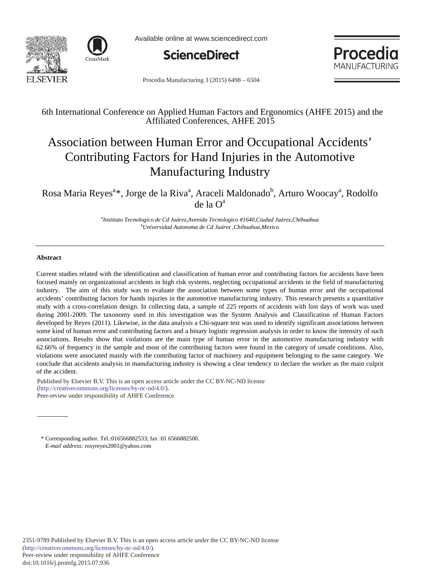



Available online at www.sciencedirect.com





Procedia Manufacturing 3 (2015) 6498 - 6504

# 6th International Conference on Applied Human Factors and Ergonomics (AHFE 2015) and the Affiliated Conferences, AHFE 2015

# Association between Human Error and Occupational Accidents' Contributing Factors for Hand Injuries in the Automotive Manufacturing Industry

Rosa Maria Reyes<sup>a</sup>\*, Jorge de la Riva<sup>a</sup>, Araceli Maldonado<sup>b</sup>, Arturo Woocay<sup>a</sup>, Rodolfo de la  $O^a$ 

> *a Instituto Tecnologico de Cd Juárez,Avenida Tecnologico #1640,Ciudad Juárez,Chihuahua b Universidad Autonoma de Cd Juárez ,Chihuahua,Mexico*

#### **Abstract**

Current studies related with the identification and classification of human error and contributing factors for accidents have been focused mainly on organizational accidents in high risk systems, neglecting occupational accidents in the field of manufacturing industry. The aim of this study was to evaluate the association between some types of human error and the occupational accidents' contributing factors for hands injuries in the automotive manufacturing industry. This research presents a quantitative study with a cross-correlation design. In collecting data, a sample of 225 reports of accidents with lost days of work was used during 2001-2009. The taxonomy used in this investigation was the System Analysis and Classification of Human Factors developed by Reyes (2011). Likewise, in the data analysis a Chi-square test was used to identify significant associations between some kind of human error and contributing factors and a binary logistic regression analysis in order to know the intensity of such associations. Results show that violations are the main type of human error in the automotive manufacturing industry with 62.66% of frequency in the sample and most of the contributing factors were found in the category of unsafe conditions. Also, violations were associated mainly with the contributing factor of machinery and equipment belonging to the same category. We conclude that accidents analysis in manufacturing industry is showing a clear tendency to declare the worker as the main culprit of the accident.

Published by Elsevier B.V. This is an open access article under the CC BY-NC-ND license (http://creativecommons.org/licenses/by-nc-nd/4.0/). Peer-review under responsibility of AHFE Conference

<sup>\*</sup> Corresponding author. Tel.:016566882533; fax :01 6566882500. *E-mail address:* rosyreyes2001@yahoo.com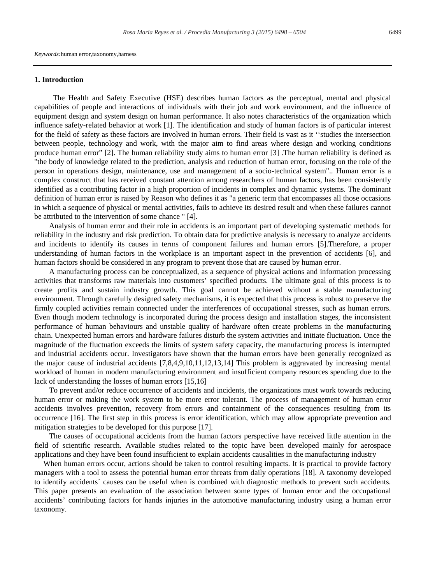*Keywords:*human error,taxonomy,harness

#### **1. Introduction**

 The Health and Safety Executive (HSE) describes human factors as the perceptual, mental and physical capabilities of people and interactions of individuals with their job and work environment, and the influence of equipment design and system design on human performance. It also notes characteristics of the organization which influence safety-related behavior at work [1]. The identification and study of human factors is of particular interest for the field of safety as these factors are involved in human errors. Their field is vast as it ''studies the intersection between people, technology and work, with the major aim to find areas where design and working conditions produce human error" [2]. The human reliability study aims to human error [3] .The human reliability is defined as "the body of knowledge related to the prediction, analysis and reduction of human error, focusing on the role of the person in operations design, maintenance, use and management of a socio-technical system".. Human error is a complex construct that has received constant attention among researchers of human factors, has been consistently identified as a contributing factor in a high proportion of incidents in complex and dynamic systems. The dominant definition of human error is raised by Reason who defines it as "a generic term that encompasses all those occasions in which a sequence of physical or mental activities, fails to achieve its desired result and when these failures cannot be attributed to the intervention of some chance " [4].

 Analysis of human error and their role in accidents is an important part of developing systematic methods for reliability in the industry and risk prediction. To obtain data for predictive analysis is necessary to analyze accidents and incidents to identify its causes in terms of component failures and human errors [5].Therefore, a proper understanding of human factors in the workplace is an important aspect in the prevention of accidents [6], and human factors should be considered in any program to prevent those that are caused by human error.

 A manufacturing process can be conceptualized, as a sequence of physical actions and information processing activities that transforms raw materials into customers' specified products. The ultimate goal of this process is to create profits and sustain industry growth. This goal cannot be achieved without a stable manufacturing environment. Through carefully designed safety mechanisms, it is expected that this process is robust to preserve the firmly coupled activities remain connected under the interferences of occupational stresses, such as human errors. Even though modern technology is incorporated during the process design and installation stages, the inconsistent performance of human behaviours and unstable quality of hardware often create problems in the manufacturing chain. Unexpected human errors and hardware failures disturb the system activities and initiate fluctuation. Once the magnitude of the fluctuation exceeds the limits of system safety capacity, the manufacturing process is interrupted and industrial accidents occur. Investigators have shown that the human errors have been generally recognized as the major cause of industrial accidents [7,8,4,9,10,11,12,13,14] This problem is aggravated by increasing mental workload of human in modern manufacturing environment and insufficient company resources spending due to the lack of understanding the losses of human errors [15,16]

 To prevent and/or reduce occurrence of accidents and incidents, the organizations must work towards reducing human error or making the work system to be more error tolerant. The process of management of human error accidents involves prevention, recovery from errors and containment of the consequences resulting from its occurrence [16]. The first step in this process is error identification, which may allow appropriate prevention and mitigation strategies to be developed for this purpose [17].

 The causes of occupational accidents from the human factors perspective have received little attention in the field of scientific research. Available studies related to the topic have been developed mainly for aerospace applications and they have been found insufficient to explain accidents causalities in the manufacturing industry

When human errors occur, actions should be taken to control resulting impacts. It is practical to provide factory managers with a tool to assess the potential human error threats from daily operations [18]. A taxonomy developed to identify accidents´ causes can be useful when is combined with diagnostic methods to prevent such accidents. This paper presents an evaluation of the association between some types of human error and the occupational accidents' contributing factors for hands injuries in the automotive manufacturing industry using a human error taxonomy.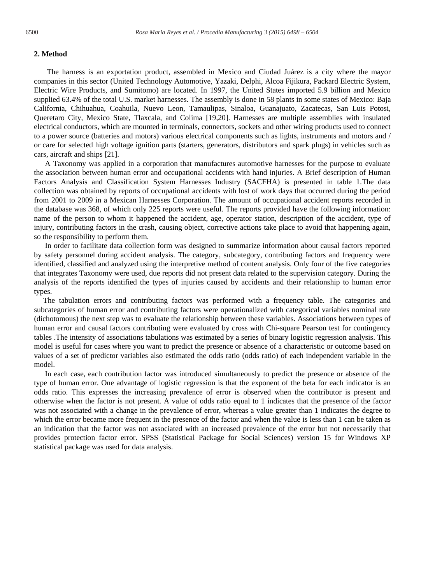#### **2. Method**

 The harness is an exportation product, assembled in Mexico and Ciudad Juárez is a city where the mayor companies in this sector (United Technology Automotive, Yazaki, Delphi, Alcoa Fijikura, Packard Electric System, Electric Wire Products, and Sumitomo) are located. In 1997, the United States imported 5.9 billion and Mexico supplied 63.4% of the total U.S. market harnesses. The assembly is done in 58 plants in some states of Mexico: Baja California, Chihuahua, Coahuila, Nuevo Leon, Tamaulipas, Sinaloa, Guanajuato, Zacatecas, San Luis Potosi, Queretaro City, Mexico State, Tlaxcala, and Colima [19,20]. Harnesses are multiple assemblies with insulated electrical conductors, which are mounted in terminals, connectors, sockets and other wiring products used to connect to a power source (batteries and motors) various electrical components such as lights, instruments and motors and / or care for selected high voltage ignition parts (starters, generators, distributors and spark plugs) in vehicles such as cars, aircraft and ships [21].

A Taxonomy was applied in a corporation that manufactures automotive harnesses for the purpose to evaluate the association between human error and occupational accidents with hand injuries. A Brief description of Human Factors Analysis and Classification System Harnesses Industry (SACFHA) is presented in table 1.The data collection was obtained by reports of occupational accidents with lost of work days that occurred during the period from 2001 to 2009 in a Mexican Harnesses Corporation. The amount of occupational accident reports recorded in the database was 368, of which only 225 reports were useful. The reports provided have the following information: name of the person to whom it happened the accident, age, operator station, description of the accident, type of injury, contributing factors in the crash, causing object, corrective actions take place to avoid that happening again, so the responsibility to perform them.

In order to facilitate data collection form was designed to summarize information about causal factors reported by safety personnel during accident analysis. The category, subcategory, contributing factors and frequency were identified, classified and analyzed using the interpretive method of content analysis. Only four of the five categories that integrates Taxonomy were used, due reports did not present data related to the supervision category. During the analysis of the reports identified the types of injuries caused by accidents and their relationship to human error types.

The tabulation errors and contributing factors was performed with a frequency table. The categories and subcategories of human error and contributing factors were operationalized with categorical variables nominal rate (dichotomous) the next step was to evaluate the relationship between these variables. Associations between types of human error and causal factors contributing were evaluated by cross with Chi-square Pearson test for contingency tables .The intensity of associations tabulations was estimated by a series of binary logistic regression analysis. This model is useful for cases where you want to predict the presence or absence of a characteristic or outcome based on values of a set of predictor variables also estimated the odds ratio (odds ratio) of each independent variable in the model.

In each case, each contribution factor was introduced simultaneously to predict the presence or absence of the type of human error. One advantage of logistic regression is that the exponent of the beta for each indicator is an odds ratio. This expresses the increasing prevalence of error is observed when the contributor is present and otherwise when the factor is not present. A value of odds ratio equal to 1 indicates that the presence of the factor was not associated with a change in the prevalence of error, whereas a value greater than 1 indicates the degree to which the error became more frequent in the presence of the factor and when the value is less than 1 can be taken as an indication that the factor was not associated with an increased prevalence of the error but not necessarily that provides protection factor error. SPSS (Statistical Package for Social Sciences) version 15 for Windows XP statistical package was used for data analysis.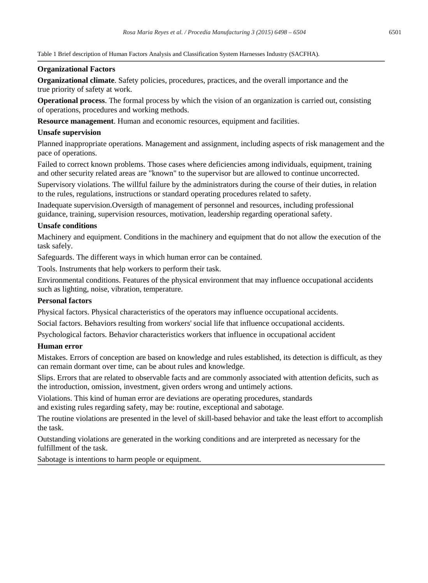Table 1 Brief description of Human Factors Analysis and Classification System Harnesses Industry (SACFHA).

#### **Organizational Factors**

**Organizational climate**. Safety policies, procedures, practices, and the overall importance and the true priority of safety at work.

**Operational process**. The formal process by which the vision of an organization is carried out, consisting of operations, procedures and working methods.

**Resource management**. Human and economic resources, equipment and facilities.

#### **Unsafe supervision**

Planned inappropriate operations. Management and assignment, including aspects of risk management and the pace of operations.

Failed to correct known problems. Those cases where deficiencies among individuals, equipment, training and other security related areas are "known" to the supervisor but are allowed to continue uncorrected.

Supervisory violations. The willful failure by the administrators during the course of their duties, in relation to the rules, regulations, instructions or standard operating procedures related to safety.

Inadequate supervision.Oversigth of management of personnel and resources, including professional guidance, training, supervision resources, motivation, leadership regarding operational safety.

#### **Unsafe conditions**

Machinery and equipment. Conditions in the machinery and equipment that do not allow the execution of the task safely.

Safeguards. The different ways in which human error can be contained.

Tools. Instruments that help workers to perform their task.

Environmental conditions. Features of the physical environment that may influence occupational accidents such as lighting, noise, vibration, temperature.

## **Personal factors**

Physical factors. Physical characteristics of the operators may influence occupational accidents.

Social factors. Behaviors resulting from workers' social life that influence occupational accidents.

Psychological factors. Behavior characteristics workers that influence in occupational accident

## **Human error**

Mistakes. Errors of conception are based on knowledge and rules established, its detection is difficult, as they can remain dormant over time, can be about rules and knowledge.

Slips. Errors that are related to observable facts and are commonly associated with attention deficits, such as the introduction, omission, investment, given orders wrong and untimely actions.

Violations. This kind of human error are deviations are operating procedures, standards and existing rules regarding safety, may be: routine, exceptional and sabotage.

The routine violations are presented in the level of skill-based behavior and take the least effort to accomplish the task.

Outstanding violations are generated in the working conditions and are interpreted as necessary for the fulfillment of the task.

Sabotage is intentions to harm people or equipment.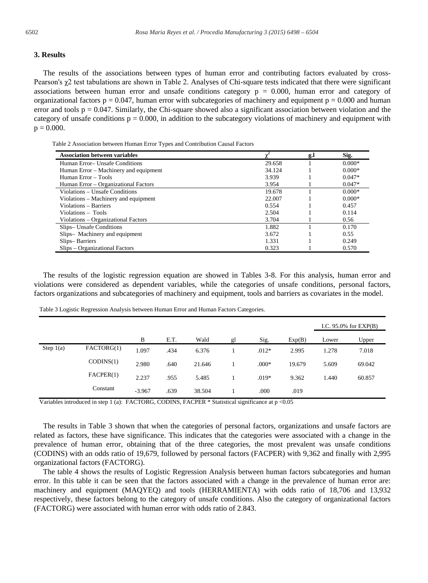#### **3. Results**

The results of the associations between types of human error and contributing factors evaluated by cross-Pearson's  $\chi$ 2 test tabulations are shown in Table 2. Analyses of Chi-square tests indicated that there were significant associations between human error and unsafe conditions category  $p = 0.000$ , human error and category of organizational factors  $p = 0.047$ , human error with subcategories of machinery and equipment  $p = 0.000$  and human error and tools  $p = 0.047$ . Similarly, the Chi-square showed also a significant association between violation and the category of unsafe conditions  $p = 0.000$ , in addition to the subcategory violations of machinery and equipment with  $p = 0.000$ .

Table 2 Association between Human Error Types and Contribution Causal Factors

| <b>Association between variables</b>  |        | g.l | Sig.     |
|---------------------------------------|--------|-----|----------|
| Human Error- Unsafe Conditions        | 29.658 |     | $0.000*$ |
| Human Error – Machinery and equipment | 34.124 |     | $0.000*$ |
| Human Error – Tools                   | 3.939  |     | $0.047*$ |
| Human Error – Organizational Factors  | 3.954  |     | $0.047*$ |
| Violations – Unsafe Conditions        | 19.678 |     | $0.000*$ |
| Violations – Machinery and equipment  | 22.007 |     | $0.000*$ |
| Violations – Barriers                 | 0.554  |     | 0.457    |
| Violations - Tools                    | 2.504  |     | 0.114    |
| Violations – Organizational Factors   | 3.704  |     | 0.56     |
| Slips-Unsafe Conditions               | 1.882  |     | 0.170    |
| Slips-Machinery and equipment         | 3.672  |     | 0.55     |
| Slips-Barriers                        | 1.331  |     | 0.249    |
| Slips – Organizational Factors        | 0.323  |     | 0.570    |

The results of the logistic regression equation are showed in Tables 3-8. For this analysis, human error and violations were considered as dependent variables, while the categories of unsafe conditions, personal factors, factors organizations and subcategories of machinery and equipment, tools and barriers as covariates in the model.

|             |            |          |      |        |    |         |        | I.C. $95.0\%$ for $EXP(B)$ |        |  |
|-------------|------------|----------|------|--------|----|---------|--------|----------------------------|--------|--|
|             |            | B        | E.T. | Wald   | gl | Sig.    | Exp(B) | Lower                      | Upper  |  |
| Step $1(a)$ | FACTORG(1) | 1.097    | .434 | 6.376  |    | $.012*$ | 2.995  | 1.278                      | 7.018  |  |
|             | CODINS(1)  | 2.980    | .640 | 21.646 |    | $.000*$ | 19.679 | 5.609                      | 69.042 |  |
|             | FACPER(1)  | 2.237    | .955 | 5.485  |    | $.019*$ | 9.362  | 1.440                      | 60.857 |  |
|             | Constant   | $-3.967$ | .639 | 38.504 |    | .000    | .019   |                            |        |  |

Table 3 Logistic Regression Analysis between Human Error and Human Factors Categories.

Variables introduced in step 1 (a): FACTORG, CODINS, FACPER \* Statistical significance at p <0.05

The results in Table 3 shown that when the categories of personal factors, organizations and unsafe factors are related as factors, these have significance. This indicates that the categories were associated with a change in the prevalence of human error, obtaining that of the three categories, the most prevalent was unsafe conditions (CODINS) with an odds ratio of 19,679, followed by personal factors (FACPER) with 9,362 and finally with 2,995 organizational factors (FACTORG).

The table 4 shows the results of Logistic Regression Analysis between human factors subcategories and human error. In this table it can be seen that the factors associated with a change in the prevalence of human error are: machinery and equipment (MAQYEQ) and tools (HERRAMIENTA) with odds ratio of 18,706 and 13,932 respectively, these factors belong to the category of unsafe conditions. Also the category of organizational factors (FACTORG) were associated with human error with odds ratio of 2.843.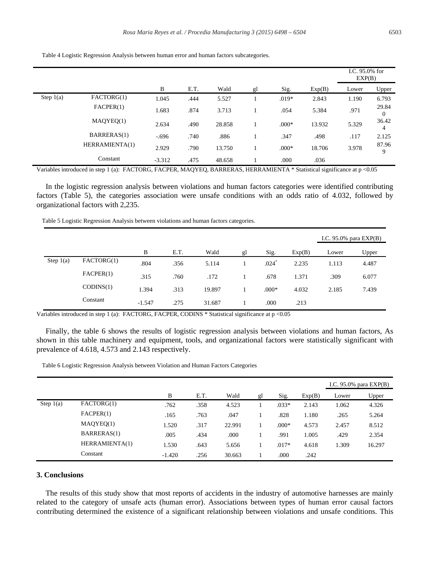|             |                |          |      |        |    |         |        | I.C. 95.0% for<br>EXP(B) |                   |
|-------------|----------------|----------|------|--------|----|---------|--------|--------------------------|-------------------|
|             |                | B        | E.T. | Wald   | gl | Sig.    | Exp(B) | Lower                    | Upper             |
| Step $1(a)$ | FACTORG(1)     | 1.045    | .444 | 5.527  |    | $.019*$ | 2.843  | 1.190                    | 6.793             |
|             | FACPER(1)      | 1.683    | .874 | 3.713  |    | .054    | 5.384  | .971                     | 29.84<br>$\Omega$ |
|             | MAQYEQ(1)      | 2.634    | .490 | 28.858 |    | $.000*$ | 13.932 | 5.329                    | 36.42<br>4        |
|             | BARRERAS(1)    | $-.696$  | .740 | .886   |    | .347    | .498   | .117                     | 2.125             |
|             | HERRAMIENTA(1) | 2.929    | .790 | 13.750 |    | $.000*$ | 18.706 | 3.978                    | 87.96<br>9        |
|             | Constant       | $-3.312$ | .475 | 48.658 |    | .000    | .036   |                          |                   |

Table 4 Logistic Regression Analysis between human error and human factors subcategories.

Variables introduced in step 1 (a): FACTORG, FACPER, MAQYEQ, BARRERAS, HERRAMIENTA \* Statistical significance at p <0.05

In the logistic regression analysis between violations and human factors categories were identified contributing factors (Table 5), the categories association were unsafe conditions with an odds ratio of 4.032, followed by organizational factors with 2,235.

Table 5 Logistic Regression Analysis between violations and human factors categories.

|             |            |          |      |        |    |         |        | I.C. $95.0\%$ para $EXP(B)$ |       |  |
|-------------|------------|----------|------|--------|----|---------|--------|-----------------------------|-------|--|
|             |            | B        | E.T. | Wald   | gl | Sig.    | Exp(B) | Lower                       | Upper |  |
| Step $1(a)$ | FACTORG(1) | .804     | .356 | 5.114  |    | $.024*$ | 2.235  | 1.113                       | 4.487 |  |
|             | FACPER(1)  | .315     | .760 | .172   |    | .678    | 1.371  | .309                        | 6.077 |  |
|             | CODINS(1)  | 1.394    | .313 | 19.897 |    | $.000*$ | 4.032  | 2.185                       | 7.439 |  |
|             | Constant   | $-1.547$ | .275 | 31.687 |    | .000    | .213   |                             |       |  |

Variables introduced in step 1 (a): FACTORG, FACPER, CODINS \* Statistical significance at p <0.05

Finally, the table 6 shows the results of logistic regression analysis between violations and human factors, As shown in this table machinery and equipment, tools, and organizational factors were statistically significant with prevalence of 4.618, 4.573 and 2.143 respectively.

Table 6 Logistic Regression Analysis between Violation and Human Factors Categories

|             |                |          |      |        |    |         |        | I.C. $95.0\%$ para $EXP(B)$ |        |
|-------------|----------------|----------|------|--------|----|---------|--------|-----------------------------|--------|
|             |                | B        | E.T. | Wald   | gl | Sig.    | Exp(B) | Lower                       | Upper  |
| Step $1(a)$ | FACTORG(1)     | .762     | .358 | 4.523  |    | $.033*$ | 2.143  | 1.062                       | 4.326  |
|             | FACPER(1)      | .165     | .763 | .047   |    | .828    | 1.180  | .265                        | 5.264  |
|             | MAQYEQ(1)      | 1.520    | .317 | 22.991 |    | $.000*$ | 4.573  | 2.457                       | 8.512  |
|             | BARRERAS(1)    | .005     | .434 | .000   |    | .991    | 1.005  | .429                        | 2.354  |
|             | HERRAMIENTA(1) | 1.530    | .643 | 5.656  |    | $.017*$ | 4.618  | 1.309                       | 16.297 |
|             | Constant       | $-1.420$ | .256 | 30.663 |    | .000    | .242   |                             |        |

#### **3. Conclusions**

The results of this study show that most reports of accidents in the industry of automotive harnesses are mainly related to the category of unsafe acts (human error). Associations between types of human error causal factors contributing determined the existence of a significant relationship between violations and unsafe conditions. This